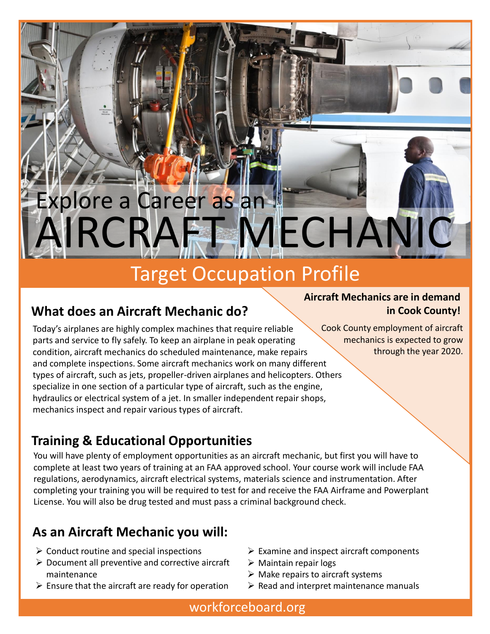# AIRCRAFT MECHANIC Explore a Career as an

## Target Occupation Profile

## **What does an Aircraft Mechanic do?**

Today's airplanes are highly complex machines that require reliable parts and service to fly safely. To keep an airplane in peak operating condition, aircraft mechanics do scheduled maintenance, make repairs and complete inspections. Some aircraft mechanics work on many different types of aircraft, such as jets, propeller-driven airplanes and helicopters. Others specialize in one section of a particular type of aircraft, such as the engine, hydraulics or electrical system of a jet. In smaller independent repair shops, mechanics inspect and repair various types of aircraft.

#### **Aircraft Mechanics are in demand in Cook County!**

Cook County employment of aircraft mechanics is expected to grow through the year 2020.

## **Training & Educational Opportunities**

You will have plenty of employment opportunities as an aircraft mechanic, but first you will have to complete at least two years of training at an FAA approved school. Your course work will include FAA regulations, aerodynamics, aircraft electrical systems, materials science and instrumentation. After completing your training you will be required to test for and receive the FAA Airframe and Powerplant License. You will also be drug tested and must pass a criminal background check.

## **As an Aircraft Mechanic you will:**

- $\triangleright$  Conduct routine and special inspections
- $\triangleright$  Document all preventive and corrective aircraft maintenance
- $\triangleright$  Ensure that the aircraft are ready for operation
- $\triangleright$  Examine and inspect aircraft components
- $\triangleright$  Maintain repair logs
- $\triangleright$  Make repairs to aircraft systems
- $\triangleright$  Read and interpret maintenance manuals